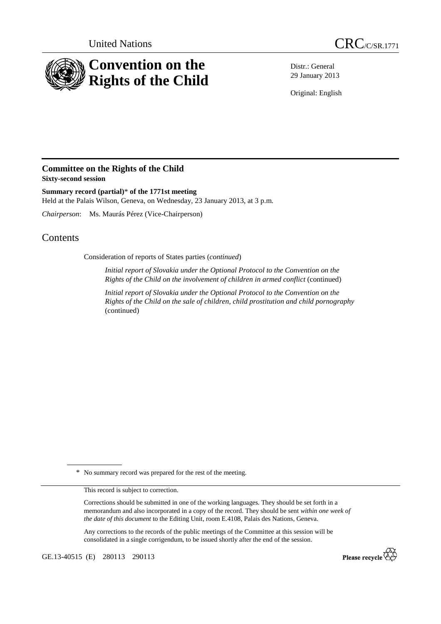



Distr.: General 29 January 2013

Original: English

## **Committee on the Rights of the Child Sixty-second session**

**Summary record (partial)**\* **of the 1771st meeting**  Held at the Palais Wilson, Geneva, on Wednesday, 23 January 2013, at 3 p.m.

*Chairperson*: Ms. Maurás Pérez (Vice-Chairperson)

## **Contents**

Consideration of reports of States parties (*continued*)

*Initial report of Slovakia under the Optional Protocol to the Convention on the Rights of the Child on the involvement of children in armed conflict* (continued)

*Initial report of Slovakia under the Optional Protocol to the Convention on the Rights of the Child on the sale of children, child prostitution and child pornography* (continued)

\* No summary record was prepared for the rest of the meeting.

This record is subject to correction.

Corrections should be submitted in one of the working languages. They should be set forth in a memorandum and also incorporated in a copy of the record. They should be sent *within one week of the date of this document* to the Editing Unit, room E.4108, Palais des Nations, Geneva.

Any corrections to the records of the public meetings of the Committee at this session will be consolidated in a single corrigendum, to be issued shortly after the end of the session.

GE.13-40515 (E) 280113 290113

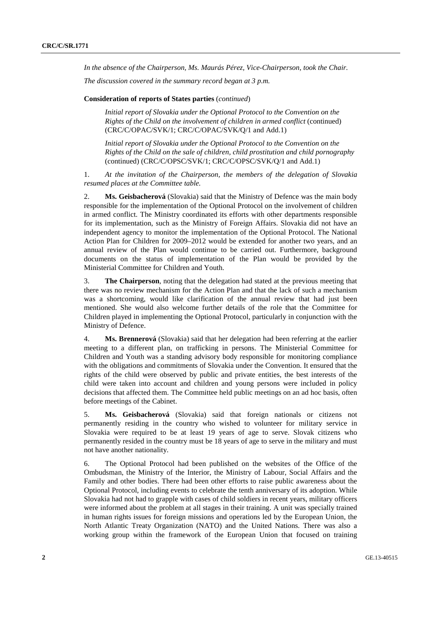*In the absence of the Chairperson, Ms. Maurás Pérez, Vice-Chairperson, took the Chair.* 

*The discussion covered in the summary record began at 3 p.m.* 

## **Consideration of reports of States parties** (*continued*)

*Initial report of Slovakia under the Optional Protocol to the Convention on the Rights of the Child on the involvement of children in armed conflict* (continued) (CRC/C/OPAC/SVK/1; CRC/C/OPAC/SVK/Q/1 and Add.1)

*Initial report of Slovakia under the Optional Protocol to the Convention on the Rights of the Child on the sale of children, child prostitution and child pornography* (continued) (CRC/C/OPSC/SVK/1; CRC/C/OPSC/SVK/Q/1 and Add.1)

1. *At the invitation of the Chairperson, the members of the delegation of Slovakia resumed places at the Committee table.* 

2. **Ms. Geisbacherová** (Slovakia) said that the Ministry of Defence was the main body responsible for the implementation of the Optional Protocol on the involvement of children in armed conflict. The Ministry coordinated its efforts with other departments responsible for its implementation, such as the Ministry of Foreign Affairs. Slovakia did not have an independent agency to monitor the implementation of the Optional Protocol. The National Action Plan for Children for 2009–2012 would be extended for another two years, and an annual review of the Plan would continue to be carried out. Furthermore, background documents on the status of implementation of the Plan would be provided by the Ministerial Committee for Children and Youth.

3. **The Chairperson**, noting that the delegation had stated at the previous meeting that there was no review mechanism for the Action Plan and that the lack of such a mechanism was a shortcoming, would like clarification of the annual review that had just been mentioned. She would also welcome further details of the role that the Committee for Children played in implementing the Optional Protocol, particularly in conjunction with the Ministry of Defence.

4. **Ms. Brennerová** (Slovakia) said that her delegation had been referring at the earlier meeting to a different plan, on trafficking in persons. The Ministerial Committee for Children and Youth was a standing advisory body responsible for monitoring compliance with the obligations and commitments of Slovakia under the Convention. It ensured that the rights of the child were observed by public and private entities, the best interests of the child were taken into account and children and young persons were included in policy decisions that affected them. The Committee held public meetings on an ad hoc basis, often before meetings of the Cabinet.

5. **Ms. Geisbacherová** (Slovakia) said that foreign nationals or citizens not permanently residing in the country who wished to volunteer for military service in Slovakia were required to be at least 19 years of age to serve. Slovak citizens who permanently resided in the country must be 18 years of age to serve in the military and must not have another nationality.

6. The Optional Protocol had been published on the websites of the Office of the Ombudsman, the Ministry of the Interior, the Ministry of Labour, Social Affairs and the Family and other bodies. There had been other efforts to raise public awareness about the Optional Protocol, including events to celebrate the tenth anniversary of its adoption. While Slovakia had not had to grapple with cases of child soldiers in recent years, military officers were informed about the problem at all stages in their training. A unit was specially trained in human rights issues for foreign missions and operations led by the European Union, the North Atlantic Treaty Organization (NATO) and the United Nations. There was also a working group within the framework of the European Union that focused on training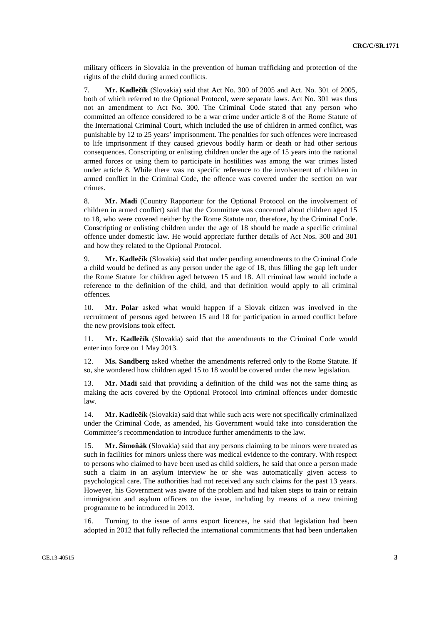military officers in Slovakia in the prevention of human trafficking and protection of the rights of the child during armed conflicts.

7. **Mr. Kadlečík** (Slovakia) said that Act No. 300 of 2005 and Act. No. 301 of 2005, both of which referred to the Optional Protocol, were separate laws. Act No. 301 was thus not an amendment to Act No. 300. The Criminal Code stated that any person who committed an offence considered to be a war crime under article 8 of the Rome Statute of the International Criminal Court, which included the use of children in armed conflict, was punishable by 12 to 25 years' imprisonment. The penalties for such offences were increased to life imprisonment if they caused grievous bodily harm or death or had other serious consequences. Conscripting or enlisting children under the age of 15 years into the national armed forces or using them to participate in hostilities was among the war crimes listed under article 8. While there was no specific reference to the involvement of children in armed conflict in the Criminal Code, the offence was covered under the section on war crimes.

8. **Mr. Madi** (Country Rapporteur for the Optional Protocol on the involvement of children in armed conflict) said that the Committee was concerned about children aged 15 to 18, who were covered neither by the Rome Statute nor, therefore, by the Criminal Code. Conscripting or enlisting children under the age of 18 should be made a specific criminal offence under domestic law. He would appreciate further details of Act Nos. 300 and 301 and how they related to the Optional Protocol.

9. **Mr. Kadlečík** (Slovakia) said that under pending amendments to the Criminal Code a child would be defined as any person under the age of 18, thus filling the gap left under the Rome Statute for children aged between 15 and 18. All criminal law would include a reference to the definition of the child, and that definition would apply to all criminal offences.

10. **Mr. Polar** asked what would happen if a Slovak citizen was involved in the recruitment of persons aged between 15 and 18 for participation in armed conflict before the new provisions took effect.

11. **Mr. Kadlečík** (Slovakia) said that the amendments to the Criminal Code would enter into force on 1 May 2013.

12. **Ms. Sandberg** asked whether the amendments referred only to the Rome Statute. If so, she wondered how children aged 15 to 18 would be covered under the new legislation.

13. **Mr. Madi** said that providing a definition of the child was not the same thing as making the acts covered by the Optional Protocol into criminal offences under domestic law.

14. **Mr. Kadlečík** (Slovakia) said that while such acts were not specifically criminalized under the Criminal Code, as amended, his Government would take into consideration the Committee's recommendation to introduce further amendments to the law.

15. **Mr. Šimoňák** (Slovakia) said that any persons claiming to be minors were treated as such in facilities for minors unless there was medical evidence to the contrary. With respect to persons who claimed to have been used as child soldiers, he said that once a person made such a claim in an asylum interview he or she was automatically given access to psychological care. The authorities had not received any such claims for the past 13 years. However, his Government was aware of the problem and had taken steps to train or retrain immigration and asylum officers on the issue, including by means of a new training programme to be introduced in 2013.

16. Turning to the issue of arms export licences, he said that legislation had been adopted in 2012 that fully reflected the international commitments that had been undertaken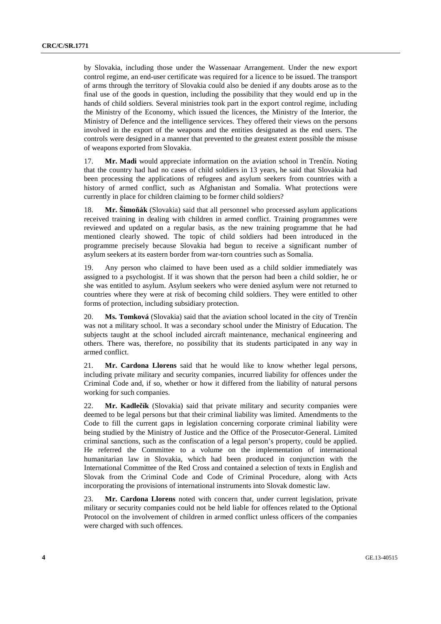by Slovakia, including those under the Wassenaar Arrangement. Under the new export control regime, an end-user certificate was required for a licence to be issued. The transport of arms through the territory of Slovakia could also be denied if any doubts arose as to the final use of the goods in question, including the possibility that they would end up in the hands of child soldiers. Several ministries took part in the export control regime, including the Ministry of the Economy, which issued the licences, the Ministry of the Interior, the Ministry of Defence and the intelligence services. They offered their views on the persons involved in the export of the weapons and the entities designated as the end users. The controls were designed in a manner that prevented to the greatest extent possible the misuse of weapons exported from Slovakia.

17. **Mr. Madi** would appreciate information on the aviation school in Trenčín. Noting that the country had had no cases of child soldiers in 13 years, he said that Slovakia had been processing the applications of refugees and asylum seekers from countries with a history of armed conflict, such as Afghanistan and Somalia. What protections were currently in place for children claiming to be former child soldiers?

18. **Mr. Šimoňák** (Slovakia) said that all personnel who processed asylum applications received training in dealing with children in armed conflict. Training programmes were reviewed and updated on a regular basis, as the new training programme that he had mentioned clearly showed. The topic of child soldiers had been introduced in the programme precisely because Slovakia had begun to receive a significant number of asylum seekers at its eastern border from war-torn countries such as Somalia.

19. Any person who claimed to have been used as a child soldier immediately was assigned to a psychologist. If it was shown that the person had been a child soldier, he or she was entitled to asylum. Asylum seekers who were denied asylum were not returned to countries where they were at risk of becoming child soldiers. They were entitled to other forms of protection, including subsidiary protection.

20. **Ms. Tomková** (Slovakia) said that the aviation school located in the city of Trenčín was not a military school. It was a secondary school under the Ministry of Education. The subjects taught at the school included aircraft maintenance, mechanical engineering and others. There was, therefore, no possibility that its students participated in any way in armed conflict.

21. **Mr. Cardona Llorens** said that he would like to know whether legal persons, including private military and security companies, incurred liability for offences under the Criminal Code and, if so, whether or how it differed from the liability of natural persons working for such companies.

22. **Mr. Kadlečík** (Slovakia) said that private military and security companies were deemed to be legal persons but that their criminal liability was limited. Amendments to the Code to fill the current gaps in legislation concerning corporate criminal liability were being studied by the Ministry of Justice and the Office of the Prosecutor-General. Limited criminal sanctions, such as the confiscation of a legal person's property, could be applied. He referred the Committee to a volume on the implementation of international humanitarian law in Slovakia, which had been produced in conjunction with the International Committee of the Red Cross and contained a selection of texts in English and Slovak from the Criminal Code and Code of Criminal Procedure, along with Acts incorporating the provisions of international instruments into Slovak domestic law.

23. **Mr. Cardona Llorens** noted with concern that, under current legislation, private military or security companies could not be held liable for offences related to the Optional Protocol on the involvement of children in armed conflict unless officers of the companies were charged with such offences.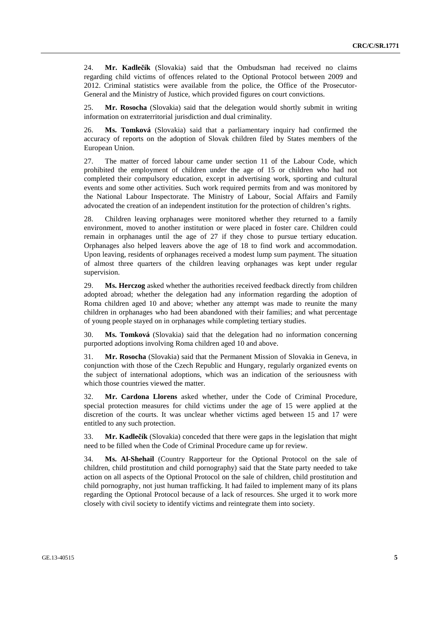24. **Mr. Kadlečík** (Slovakia) said that the Ombudsman had received no claims regarding child victims of offences related to the Optional Protocol between 2009 and 2012. Criminal statistics were available from the police, the Office of the Prosecutor-General and the Ministry of Justice, which provided figures on court convictions.

25. **Mr. Rosocha** (Slovakia) said that the delegation would shortly submit in writing information on extraterritorial jurisdiction and dual criminality.

26. **Ms. Tomková** (Slovakia) said that a parliamentary inquiry had confirmed the accuracy of reports on the adoption of Slovak children filed by States members of the European Union.

27. The matter of forced labour came under section 11 of the Labour Code, which prohibited the employment of children under the age of 15 or children who had not completed their compulsory education, except in advertising work, sporting and cultural events and some other activities. Such work required permits from and was monitored by the National Labour Inspectorate. The Ministry of Labour, Social Affairs and Family advocated the creation of an independent institution for the protection of children's rights.

28. Children leaving orphanages were monitored whether they returned to a family environment, moved to another institution or were placed in foster care. Children could remain in orphanages until the age of 27 if they chose to pursue tertiary education. Orphanages also helped leavers above the age of 18 to find work and accommodation. Upon leaving, residents of orphanages received a modest lump sum payment. The situation of almost three quarters of the children leaving orphanages was kept under regular supervision.

29. **Ms. Herczog** asked whether the authorities received feedback directly from children adopted abroad; whether the delegation had any information regarding the adoption of Roma children aged 10 and above; whether any attempt was made to reunite the many children in orphanages who had been abandoned with their families; and what percentage of young people stayed on in orphanages while completing tertiary studies.

30. **Ms. Tomková** (Slovakia) said that the delegation had no information concerning purported adoptions involving Roma children aged 10 and above.

31. **Mr. Rosocha** (Slovakia) said that the Permanent Mission of Slovakia in Geneva, in conjunction with those of the Czech Republic and Hungary, regularly organized events on the subject of international adoptions, which was an indication of the seriousness with which those countries viewed the matter.

32. **Mr. Cardona Llorens** asked whether, under the Code of Criminal Procedure, special protection measures for child victims under the age of 15 were applied at the discretion of the courts. It was unclear whether victims aged between 15 and 17 were entitled to any such protection.

33. **Mr. Kadlečík** (Slovakia) conceded that there were gaps in the legislation that might need to be filled when the Code of Criminal Procedure came up for review.

34. **Ms. Al-Shehail** (Country Rapporteur for the Optional Protocol on the sale of children, child prostitution and child pornography) said that the State party needed to take action on all aspects of the Optional Protocol on the sale of children, child prostitution and child pornography, not just human trafficking. It had failed to implement many of its plans regarding the Optional Protocol because of a lack of resources. She urged it to work more closely with civil society to identify victims and reintegrate them into society.